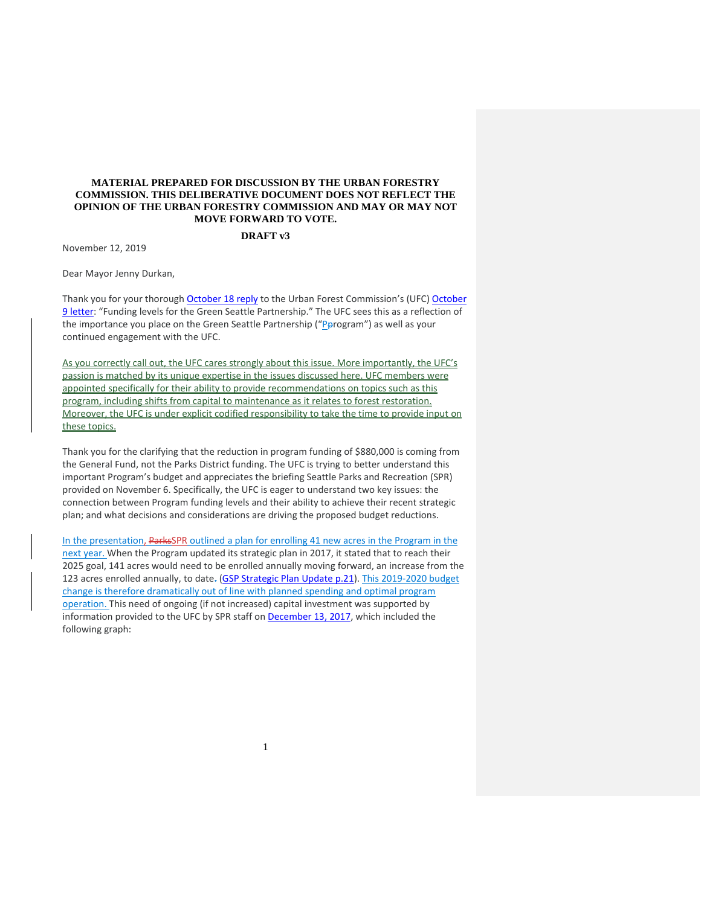## **MATERIAL PREPARED FOR DISCUSSION BY THE URBAN FORESTRY COMMISSION. THIS DELIBERATIVE DOCUMENT DOES NOT REFLECT THE OPINION OF THE URBAN FORESTRY COMMISSION AND MAY OR MAY NOT MOVE FORWARD TO VOTE.**

## **DRAFT v3**

November 12, 2019

Dear Mayor Jenny Durkan,

Thank you for your thorough [October 18](http://www.seattle.gov/Documents/Departments/UrbanForestryCommission/FinalIssuedDocuments/Recommendations/10.18.19UFCgspBudgetLetterMayorResponse.pdf) reply to the Urban Forest Commission's (UFC) [October](http://www.seattle.gov/Documents/Departments/UrbanForestryCommission/Waht%20we%20do%20-%20Recomms/ADOPTEDGSPfunding100919.pdf)  [9 letter:](http://www.seattle.gov/Documents/Departments/UrbanForestryCommission/Waht%20we%20do%20-%20Recomms/ADOPTEDGSPfunding100919.pdf) "Funding levels for the Green Seattle Partnership." The UFC sees this as a reflection of the importance you place on the Green Seattle Partnership ("Perogram") as well as your continued engagement with the UFC.

As you correctly call out, the UFC cares strongly about this issue. More importantly, the UFC's passion is matched by its unique expertise in the issues discussed here. UFC members were appointed specifically for their ability to provide recommendations on topics such as this program, including shifts from capital to maintenance as it relates to forest restoration. Moreover, the UFC is under explicit codified responsibility to take the time to provide input on these topics.

Thank you for the clarifying that the reduction in program funding of \$880,000 is coming from the General Fund, not the Parks District funding. The UFC is trying to better understand this important Program's budget and appreciates the briefing Seattle Parks and Recreation (SPR) provided on November 6. Specifically, the UFC is eager to understand two key issues: the connection between Program funding levels and their ability to achieve their recent strategic plan; and what decisions and considerations are driving the proposed budget reductions.

In the presentation, ParksSPR outlined a plan for enrolling 41 new acres in the Program in the next year. When the Program updated its strategic plan in 2017, it stated that to reach their 2025 goal, 141 acres would need to be enrolled annually moving forward, an increase from the 123 acres enrolled annually, to date- [\(GSP Strategic Plan Update p.21\)](https://www.greenseattle.org/wp-content/uploads/2018/01/GSP-Strategic-Plan-Update-01.19.18-reduced-file-size.pdf). This 2019-2020 budget change is therefore dramatically out of line with planned spending and optimal program operation. This need of ongoing (if not increased) capital investment was supported by information provided to the UFC by SPR staff on **December 13, 2017**, which included the following graph: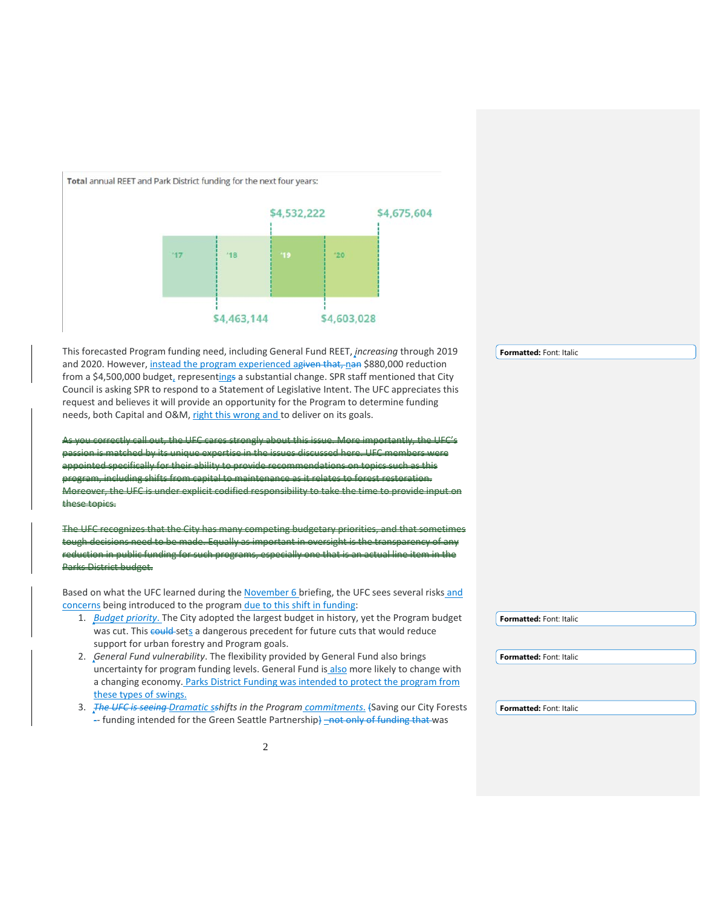